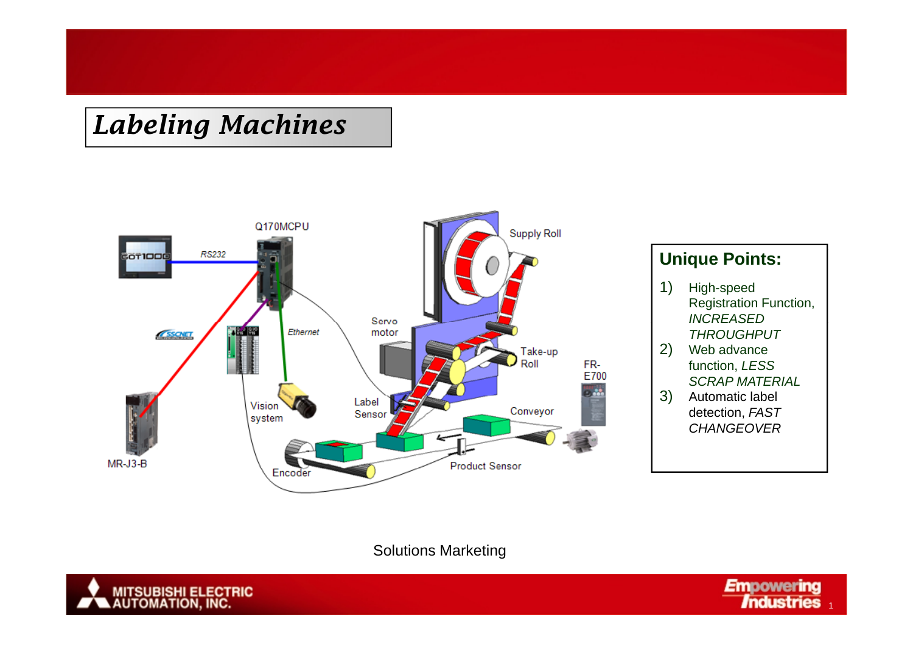

### **Unique Points:**

1) High-speed Registration Function, *INCREASEDTHROUGHPUT*

- 2) Web advance function, *LESS SCRAP MATERIAL*
- 3) Automatic label detection, *FAST CHANGEOVER*

#### Solutions Marketing



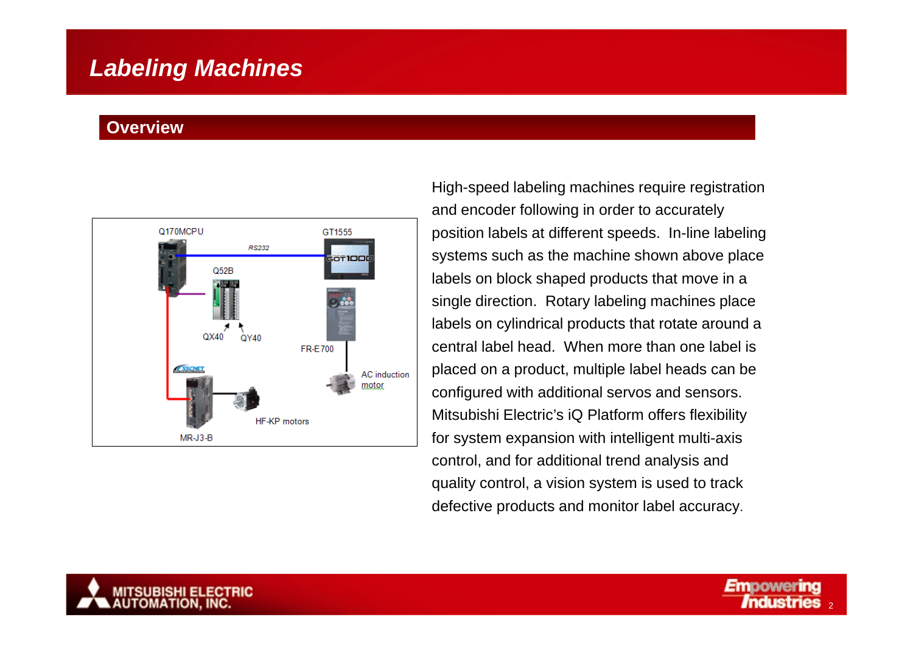#### **Overview**



High-speed labeling machines require registration and encoder following in order to accurately position labels at different speeds. In-line labeling systems such as the machine shown above place labels on block shaped products that move in a single direction. Rotary labeling machines place labels on cylindrical products that rotate around a central label head. When more than one label is placed on a product, multiple label heads can be configured with additional servos and sensors. Mitsubishi Electric's iQ Platform offers flexibility for system expansion with intelligent multi-axis control, and for additional trend analysis and quality control, a vision system is used to track defective products and monitor label accuracy.

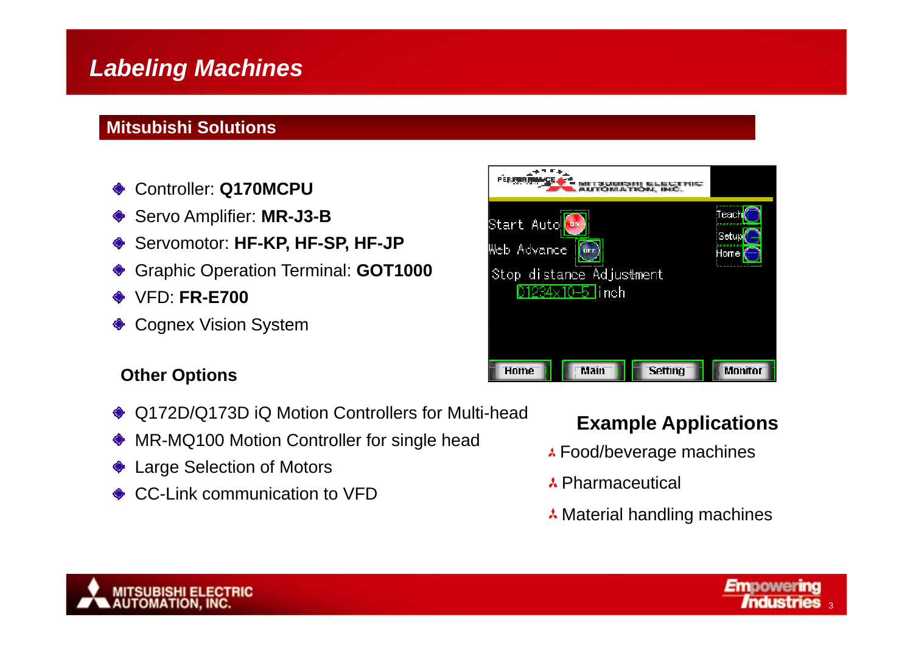### **Mitsubishi Solutions**

- Controller: **Q170MCPU**  $\bullet$
- Servo Amplifier: **MR-J3-B** ◈
- ♦ Servomotor: **HF-KP, HF-SP, HF-JP**
- Graphic Operation Terminal: **GOT1000**
- VFD: **FR-E700**
- Cognex Vision System

### **Other Options**

- ♦ Q172D/Q173D iQ Motion Controllers for Multi-head
- MR-MQ100 Motion Controller for single head ◆
- Large Selection of Motors
- **♦ CC-Link communication to VFD**



### **Example Applications**

- **A** Food/beverage machines
- Pharmaceutical
- **A** Material handling machines



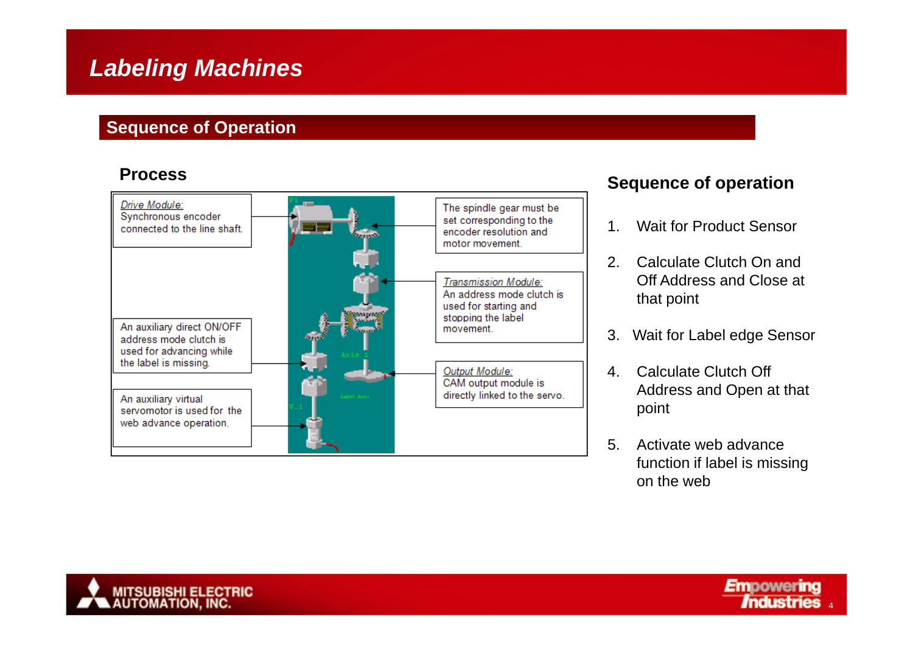### **Sequence of Operation**

#### **Process**



#### **Sequence of operation**

- 1. Wait for Product Sensor
- 2. Calculate Clutch On and Off Address and Close at that point
- 3. Wait for Label edge Sensor
- 4. Calculate Clutch Off Address and O pen at that point
- 5. Activate web advance function if label is missin g on the web



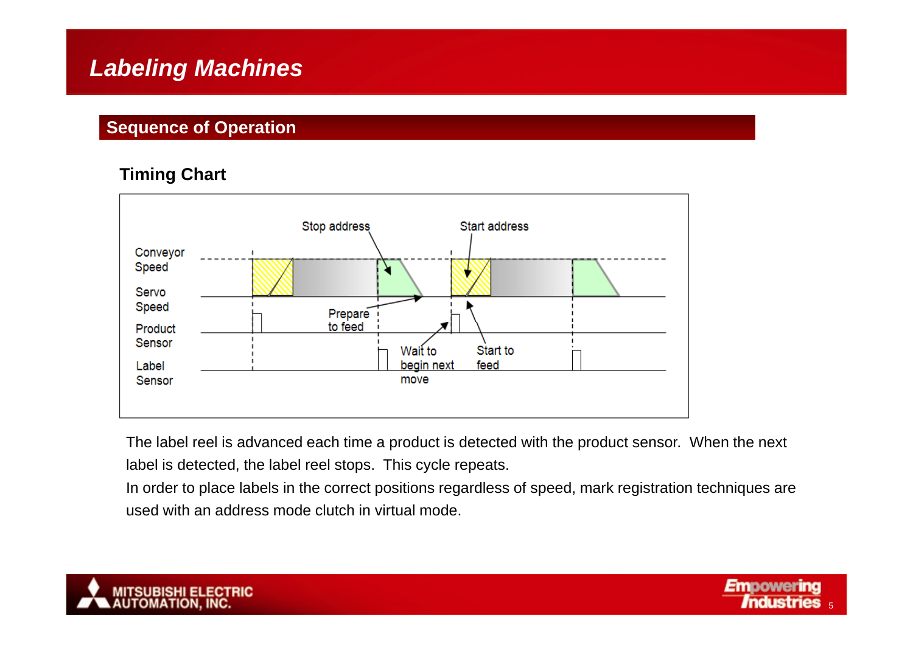### **Sequence of Operation**

### **Timing Chart**



The label reel is advanced each time a product is detected with the product sensor. When the next label is detected, the label reel stops. This cycle repeats.

In order to place labels in the correct positions regardless of speed, mark registration techniques are used with an address mode clutch in virtual mode.



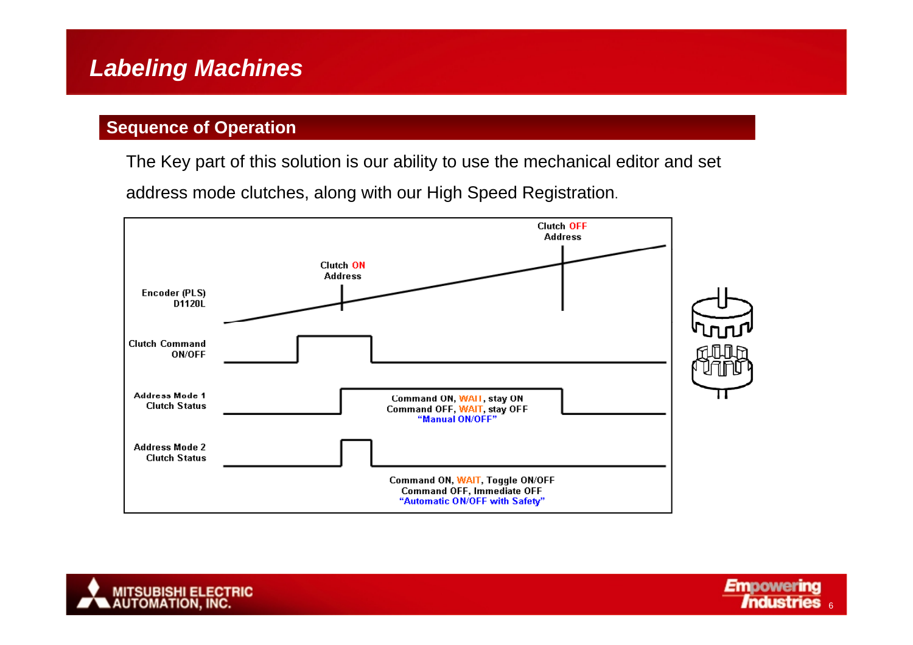### **Sequence of Operation**

The Key part of this solution is our ability to use the mechanical editor and set

address mode clutches, along with our High Speed Registration.





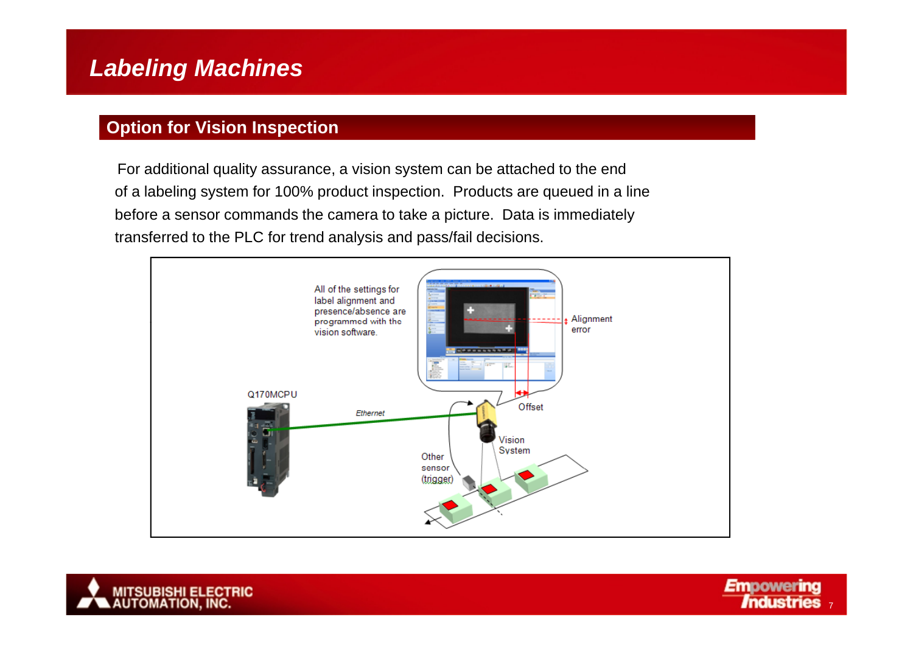### **Option for Vision Inspection**

For additional quality assurance, a vision system can be attached to the end of a labeling system for 100% product inspection. Products are queued in a line before a sensor commands the camera to take a picture. Data is immediately transferred to the PLC for trend analysis and pass/fail decisions.





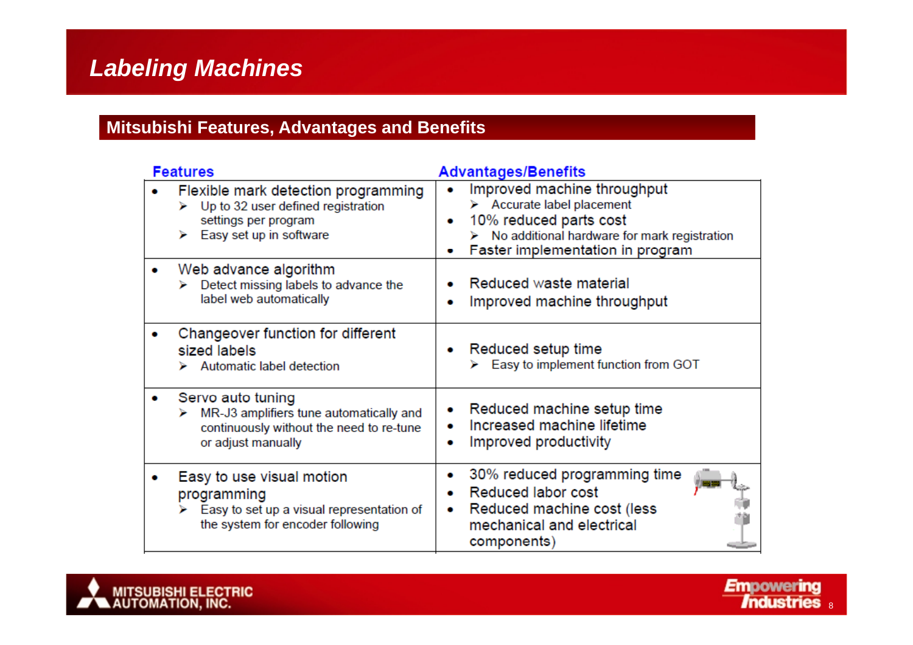### **Mitsubishi Features, Advantages and Benefits**

| <b>Features</b>                                                                                                                               | <b>Advantages/Benefits</b>                                                                                                                                                             |
|-----------------------------------------------------------------------------------------------------------------------------------------------|----------------------------------------------------------------------------------------------------------------------------------------------------------------------------------------|
| Flexible mark detection programming<br>$\triangleright$ Up to 32 user defined registration<br>settings per program<br>Easy set up in software | Improved machine throughput<br>$\triangleright$ Accurate label placement<br>10% reduced parts cost<br>No additional hardware for mark registration<br>Faster implementation in program |
| Web advance algorithm<br>Detect missing labels to advance the<br>label web automatically                                                      | Reduced waste material<br>Improved machine throughput                                                                                                                                  |
| Changeover function for different<br>sized labels<br>Automatic label detection                                                                | Reduced setup time<br>Easy to implement function from GOT                                                                                                                              |
| Servo auto tuning<br>MR-J3 amplifiers tune automatically and<br>continuously without the need to re-tune<br>or adjust manually                | Reduced machine setup time<br>Increased machine lifetime<br>Improved productivity<br>۰                                                                                                 |
| Easy to use visual motion<br>programming<br>Easy to set up a visual representation of<br>the system for encoder following                     | 30% reduced programming time<br>۰<br>Reduced labor cost<br>Reduced machine cost (less<br>۰<br>mechanical and electrical<br>components)                                                 |

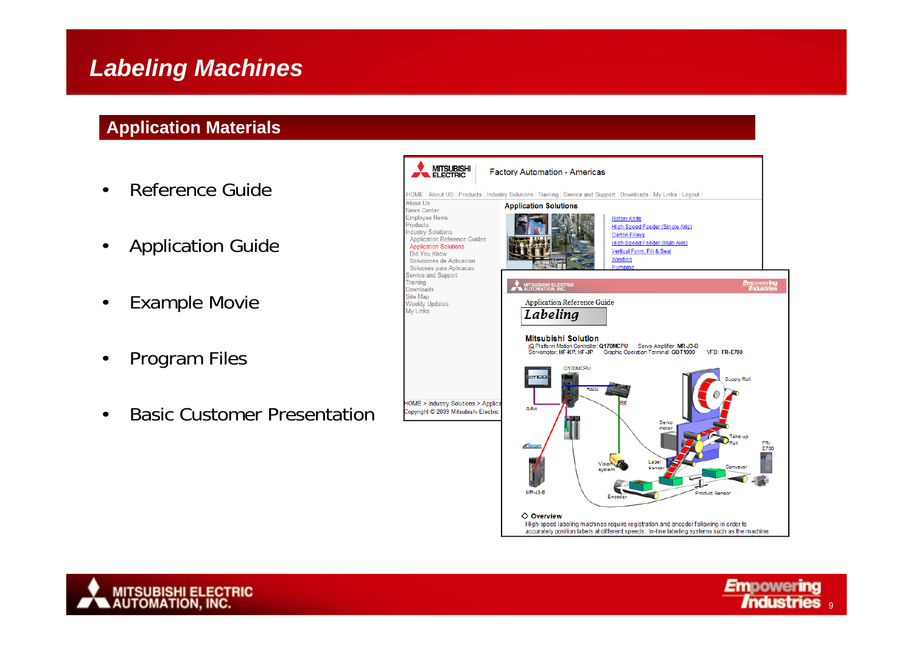### **Application Materials**

- •Reference Guide
- •Application Guide
- •Example Movie
- •Program Files
- •Basic Customer Presentation